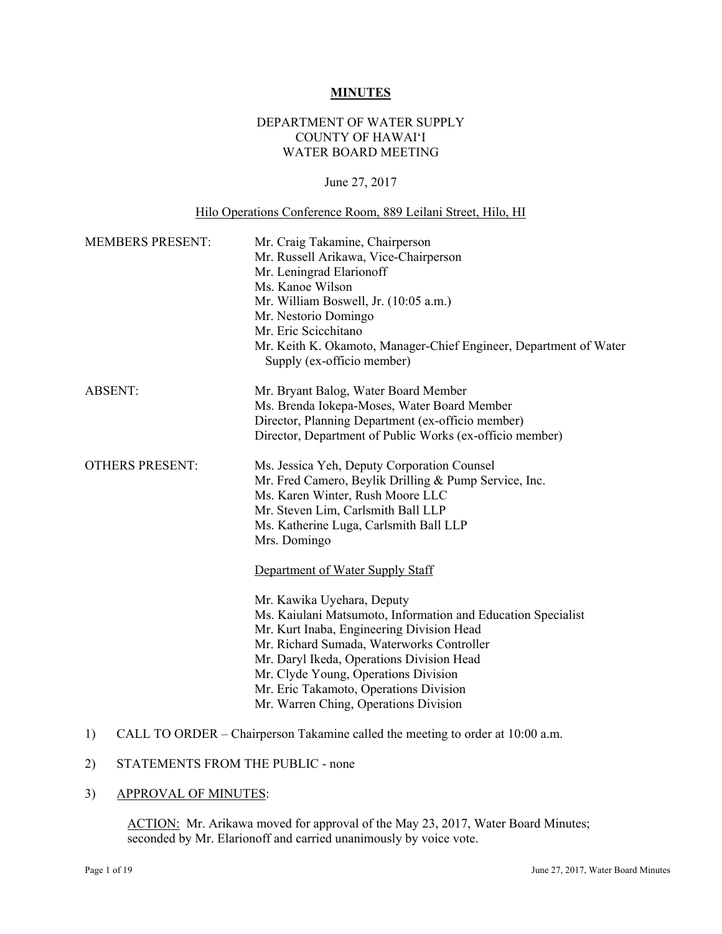### **MINUTES**

# DEPARTMENT OF WATER SUPPLY COUNTY OF HAWAI'I WATER BOARD MEETING

# June 27, 2017

# Hilo Operations Conference Room, 889 Leilani Street, Hilo, HI

| <b>MEMBERS PRESENT:</b> | Mr. Craig Takamine, Chairperson<br>Mr. Russell Arikawa, Vice-Chairperson<br>Mr. Leningrad Elarionoff<br>Ms. Kanoe Wilson<br>Mr. William Boswell, Jr. (10:05 a.m.)<br>Mr. Nestorio Domingo<br>Mr. Eric Scicchitano<br>Mr. Keith K. Okamoto, Manager-Chief Engineer, Department of Water<br>Supply (ex-officio member)                                                                                                                                                                                                                                                                                                                         |
|-------------------------|----------------------------------------------------------------------------------------------------------------------------------------------------------------------------------------------------------------------------------------------------------------------------------------------------------------------------------------------------------------------------------------------------------------------------------------------------------------------------------------------------------------------------------------------------------------------------------------------------------------------------------------------|
| <b>ABSENT:</b>          | Mr. Bryant Balog, Water Board Member<br>Ms. Brenda Iokepa-Moses, Water Board Member<br>Director, Planning Department (ex-officio member)<br>Director, Department of Public Works (ex-officio member)                                                                                                                                                                                                                                                                                                                                                                                                                                         |
| <b>OTHERS PRESENT:</b>  | Ms. Jessica Yeh, Deputy Corporation Counsel<br>Mr. Fred Camero, Beylik Drilling & Pump Service, Inc.<br>Ms. Karen Winter, Rush Moore LLC<br>Mr. Steven Lim, Carlsmith Ball LLP<br>Ms. Katherine Luga, Carlsmith Ball LLP<br>Mrs. Domingo<br>Department of Water Supply Staff<br>Mr. Kawika Uyehara, Deputy<br>Ms. Kaiulani Matsumoto, Information and Education Specialist<br>Mr. Kurt Inaba, Engineering Division Head<br>Mr. Richard Sumada, Waterworks Controller<br>Mr. Daryl Ikeda, Operations Division Head<br>Mr. Clyde Young, Operations Division<br>Mr. Eric Takamoto, Operations Division<br>Mr. Warren Ching, Operations Division |

# 1) CALL TO ORDER – Chairperson Takamine called the meeting to order at 10:00 a.m.<br>2) STATEMENTS FROM THE PUBLIC - none

### 3) APPROVAL OF MINUTES:

ACTION: Mr. Arikawa moved for approval of the May 23, 2017, Water Board Minutes; seconded by Mr. Elarionoff and carried unanimously by voice vote.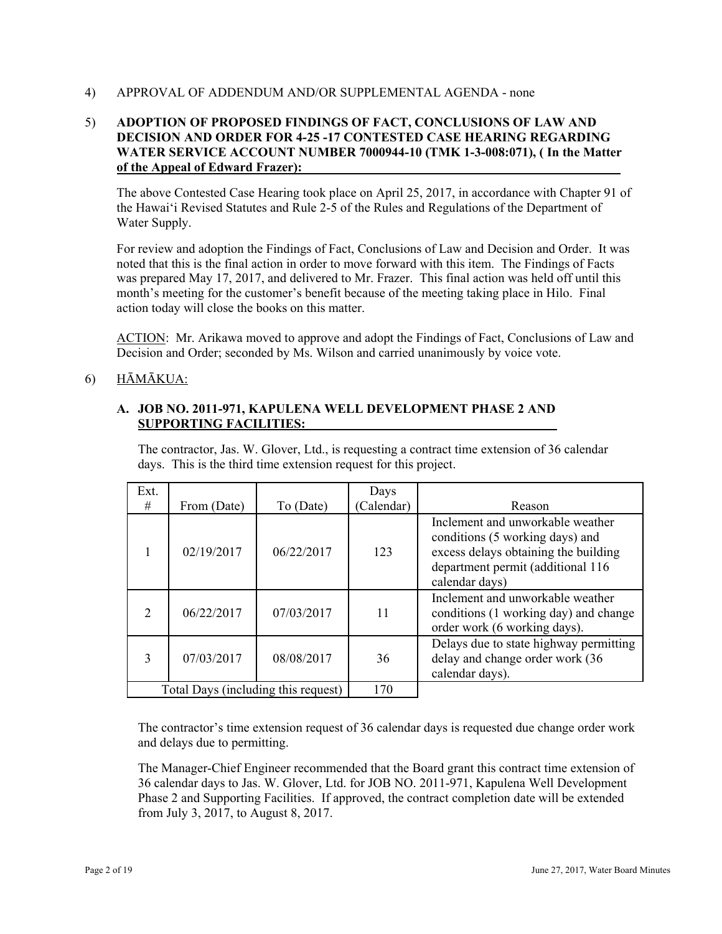### 4) APPROVAL OF ADDENDUM AND/OR SUPPLEMENTAL AGENDA - none

# 5) **ADOPTION OF PROPOSED FINDINGS OF FACT, CONCLUSIONS OF LAW AND DECISION AND ORDER FOR 4-25 -17 CONTESTED CASE HEARING REGARDING WATER SERVICE ACCOUNT NUMBER 7000944-10 (TMK 1-3-008:071), ( In the Matter of the Appeal of Edward Frazer):**

The above Contested Case Hearing took place on April 25, 2017, in accordance with Chapter 91 of the Hawai'i Revised Statutes and Rule 2-5 of the Rules and Regulations of the Department of Water Supply.

For review and adoption the Findings of Fact, Conclusions of Law and Decision and Order. It was noted that this is the final action in order to move forward with this item. The Findings of Facts was prepared May 17, 2017, and delivered to Mr. Frazer. This final action was held off until this month's meeting for the customer's benefit because of the meeting taking place in Hilo. Final action today will close the books on this matter.

ACTION: Mr. Arikawa moved to approve and adopt the Findings of Fact, Conclusions of Law and Decision and Order; seconded by Ms. Wilson and carried unanimously by voice vote.

# 6) HĀMĀKUA:

# **A. JOB NO. 2011-971, KAPULENA WELL DEVELOPMENT PHASE 2 AND SUPPORTING FACILITIES:**

The contractor, Jas. W. Glover, Ltd., is requesting a contract time extension of 36 calendar days. This is the third time extension request for this project.

| Ext.                                |             |            | Days       |                                                                                                                                                                    |
|-------------------------------------|-------------|------------|------------|--------------------------------------------------------------------------------------------------------------------------------------------------------------------|
| #                                   | From (Date) | To (Date)  | (Calendar) | Reason                                                                                                                                                             |
|                                     | 02/19/2017  | 06/22/2017 | 123        | Inclement and unworkable weather<br>conditions (5 working days) and<br>excess delays obtaining the building<br>department permit (additional 116<br>calendar days) |
| $\mathcal{D}$                       | 06/22/2017  | 07/03/2017 | 11         | Inclement and unworkable weather<br>conditions (1 working day) and change<br>order work (6 working days).                                                          |
| 3                                   | 07/03/2017  | 08/08/2017 | 36         | Delays due to state highway permitting<br>delay and change order work (36<br>calendar days).                                                                       |
| Total Days (including this request) |             | 170        |            |                                                                                                                                                                    |

The contractor's time extension request of 36 calendar days is requested due change order work and delays due to permitting.

 from July 3, 2017, to August 8, 2017. The Manager-Chief Engineer recommended that the Board grant this contract time extension of 36 calendar days to Jas. W. Glover, Ltd. for JOB NO. 2011-971, Kapulena Well Development Phase 2 and Supporting Facilities. If approved, the contract completion date will be extended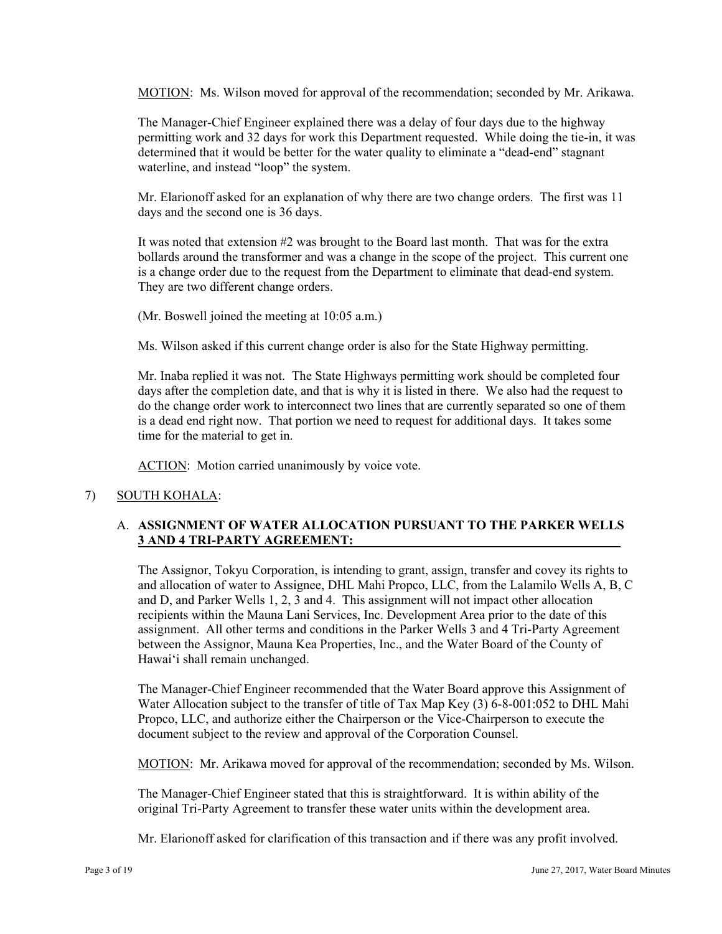MOTION: Ms. Wilson moved for approval of the recommendation; seconded by Mr. Arikawa.

The Manager-Chief Engineer explained there was a delay of four days due to the highway permitting work and 32 days for work this Department requested. While doing the tie-in, it was determined that it would be better for the water quality to eliminate a "dead-end" stagnant waterline, and instead "loop" the system.

Mr. Elarionoff asked for an explanation of why there are two change orders. The first was 11 days and the second one is 36 days.

It was noted that extension #2 was brought to the Board last month. That was for the extra bollards around the transformer and was a change in the scope of the project. This current one is a change order due to the request from the Department to eliminate that dead-end system. They are two different change orders.

(Mr. Boswell joined the meeting at 10:05 a.m.)

Ms. Wilson asked if this current change order is also for the State Highway permitting.

Mr. Inaba replied it was not. The State Highways permitting work should be completed four days after the completion date, and that is why it is listed in there. We also had the request to do the change order work to interconnect two lines that are currently separated so one of them is a dead end right now. That portion we need to request for additional days. It takes some time for the material to get in.

ACTION: Motion carried unanimously by voice vote.

# 7) SOUTH KOHALA:

# A. **ASSIGNMENT OF WATER ALLOCATION PURSUANT TO THE PARKER WELLS 3 AND 4 TRI-PARTY AGREEMENT:**

The Assignor, Tokyu Corporation, is intending to grant, assign, transfer and covey its rights to and allocation of water to Assignee, DHL Mahi Propco, LLC, from the Lalamilo Wells A, B, C and D, and Parker Wells 1, 2, 3 and 4. This assignment will not impact other allocation recipients within the Mauna Lani Services, Inc. Development Area prior to the date of this assignment. All other terms and conditions in the Parker Wells 3 and 4 Tri-Party Agreement between the Assignor, Mauna Kea Properties, Inc., and the Water Board of the County of Hawai'i shall remain unchanged.

The Manager-Chief Engineer recommended that the Water Board approve this Assignment of Water Allocation subject to the transfer of title of Tax Map Key (3) 6-8-001:052 to DHL Mahi Propco, LLC, and authorize either the Chairperson or the Vice-Chairperson to execute the document subject to the review and approval of the Corporation Counsel.

MOTION: Mr. Arikawa moved for approval of the recommendation; seconded by Ms. Wilson.

The Manager-Chief Engineer stated that this is straightforward. It is within ability of the original Tri-Party Agreement to transfer these water units within the development area.

Mr. Elarionoff asked for clarification of this transaction and if there was any profit involved.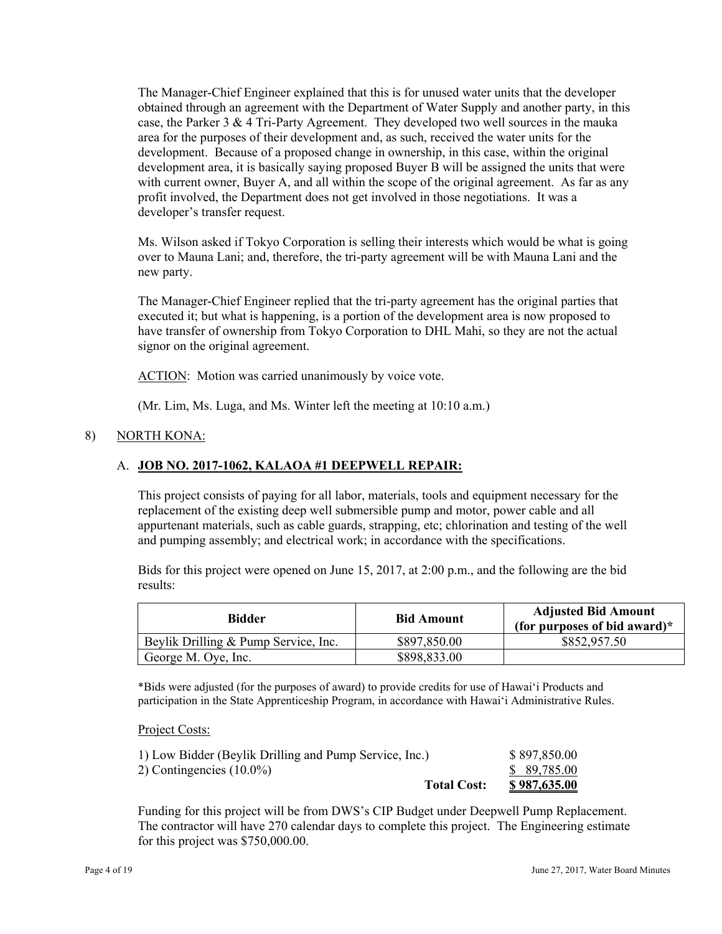The Manager-Chief Engineer explained that this is for unused water units that the developer obtained through an agreement with the Department of Water Supply and another party, in this case, the Parker 3  $& 4$  Tri-Party Agreement. They developed two well sources in the mauka area for the purposes of their development and, as such, received the water units for the development. Because of a proposed change in ownership, in this case, within the original development area, it is basically saying proposed Buyer B will be assigned the units that were with current owner, Buyer A, and all within the scope of the original agreement. As far as any profit involved, the Department does not get involved in those negotiations. It was a developer's transfer request.

new party. Ms. Wilson asked if Tokyo Corporation is selling their interests which would be what is going over to Mauna Lani; and, therefore, the tri-party agreement will be with Mauna Lani and the

The Manager-Chief Engineer replied that the tri-party agreement has the original parties that executed it; but what is happening, is a portion of the development area is now proposed to have transfer of ownership from Tokyo Corporation to DHL Mahi, so they are not the actual signor on the original agreement.

ACTION: Motion was carried unanimously by voice vote.

(Mr. Lim, Ms. Luga, and Ms. Winter left the meeting at 10:10 a.m.)

# 8) NORTH KONA:

#### A. **JOB NO. 2017-1062, KALAOA #1 DEEPWELL REPAIR:**

This project consists of paying for all labor, materials, tools and equipment necessary for the replacement of the existing deep well submersible pump and motor, power cable and all appurtenant materials, such as cable guards, strapping, etc; chlorination and testing of the well and pumping assembly; and electrical work; in accordance with the specifications.

Bids for this project were opened on June 15, 2017, at 2:00 p.m., and the following are the bid results:

| <b>Bidder</b>                        | <b>Bid Amount</b> | <b>Adjusted Bid Amount</b><br>(for purposes of bid award) $*$ |
|--------------------------------------|-------------------|---------------------------------------------------------------|
| Beylik Drilling & Pump Service, Inc. | \$897,850.00      | \$852,957.50                                                  |
| George M. Oye, Inc.                  | \$898,833.00      |                                                               |

\*Bids were adjusted (for the purposes of award) to provide credits for use of Hawai'i Products and participation in the State Apprenticeship Program, in accordance with Hawai'i Administrative Rules.

Project Costs:

| <b>Total Cost:</b>                                     | <u>\$987,635.00</u> |
|--------------------------------------------------------|---------------------|
| 2) Contingencies $(10.0\%)$                            | \$ 89,785.00        |
| 1) Low Bidder (Beylik Drilling and Pump Service, Inc.) | \$897,850.00        |

Funding for this project will be from DWS's CIP Budget under Deepwell Pump Replacement. The contractor will have 270 calendar days to complete this project. The Engineering estimate for this project was \$750,000.00.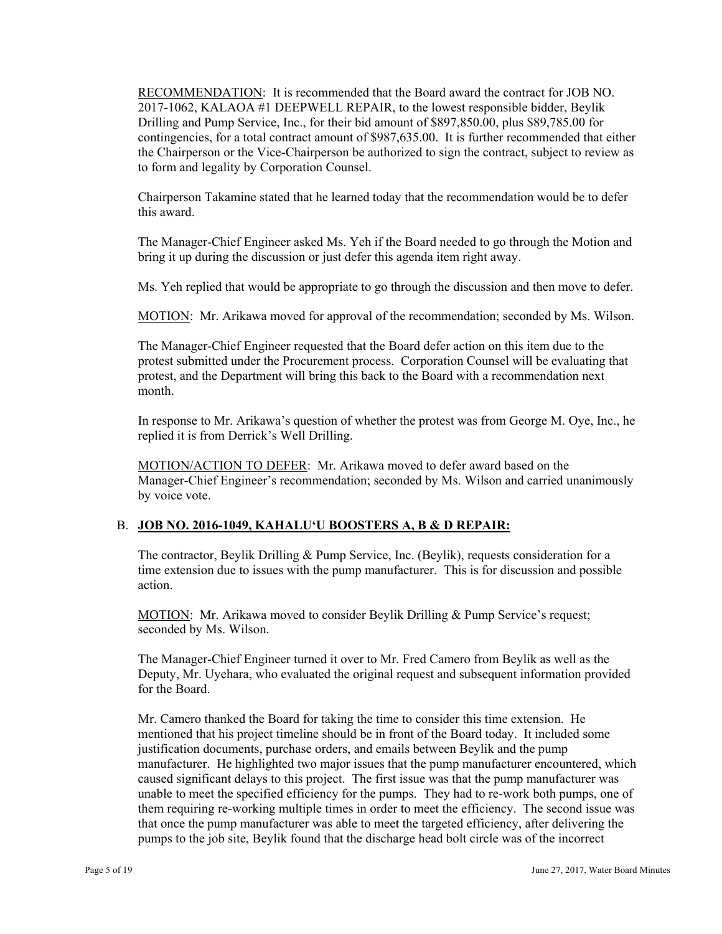RECOMMENDATION: It is recommended that the Board award the contract for JOB NO. 2017-1062, KALAOA #1 DEEPWELL REPAIR, to the lowest responsible bidder, Beylik Drilling and Pump Service, Inc., for their bid amount of \$897,850.00, plus \$89,785.00 for contingencies, for a total contract amount of \$987,635.00. It is further recommended that either the Chairperson or the Vice-Chairperson be authorized to sign the contract, subject to review as to form and legality by Corporation Counsel.

Chairperson Takamine stated that he learned today that the recommendation would be to defer this award.

The Manager-Chief Engineer asked Ms. Yeh if the Board needed to go through the Motion and bring it up during the discussion or just defer this agenda item right away.

Ms. Yeh replied that would be appropriate to go through the discussion and then move to defer.

MOTION: Mr. Arikawa moved for approval of the recommendation; seconded by Ms. Wilson.

The Manager-Chief Engineer requested that the Board defer action on this item due to the protest submitted under the Procurement process. Corporation Counsel will be evaluating that protest, and the Department will bring this back to the Board with a recommendation next month.

In response to Mr. Arikawa's question of whether the protest was from George M. Oye, Inc., he replied it is from Derrick's Well Drilling.

MOTION/ACTION TO DEFER: Mr. Arikawa moved to defer award based on the Manager-Chief Engineer's recommendation; seconded by Ms. Wilson and carried unanimously by voice vote.

# B. **JOB NO. 2016-1049, KAHALUʻU BOOSTERS A, B & D REPAIR:**

The contractor, Beylik Drilling & Pump Service, Inc. (Beylik), requests consideration for a time extension due to issues with the pump manufacturer. This is for discussion and possible action.

 seconded by Ms. Wilson. MOTION: Mr. Arikawa moved to consider Beylik Drilling & Pump Service's request;

The Manager-Chief Engineer turned it over to Mr. Fred Camero from Beylik as well as the Deputy, Mr. Uyehara, who evaluated the original request and subsequent information provided for the Board.

Mr. Camero thanked the Board for taking the time to consider this time extension. He mentioned that his project timeline should be in front of the Board today. It included some justification documents, purchase orders, and emails between Beylik and the pump manufacturer. He highlighted two major issues that the pump manufacturer encountered, which caused significant delays to this project. The first issue was that the pump manufacturer was unable to meet the specified efficiency for the pumps. They had to re-work both pumps, one of them requiring re-working multiple times in order to meet the efficiency. The second issue was that once the pump manufacturer was able to meet the targeted efficiency, after delivering the pumps to the job site, Beylik found that the discharge head bolt circle was of the incorrect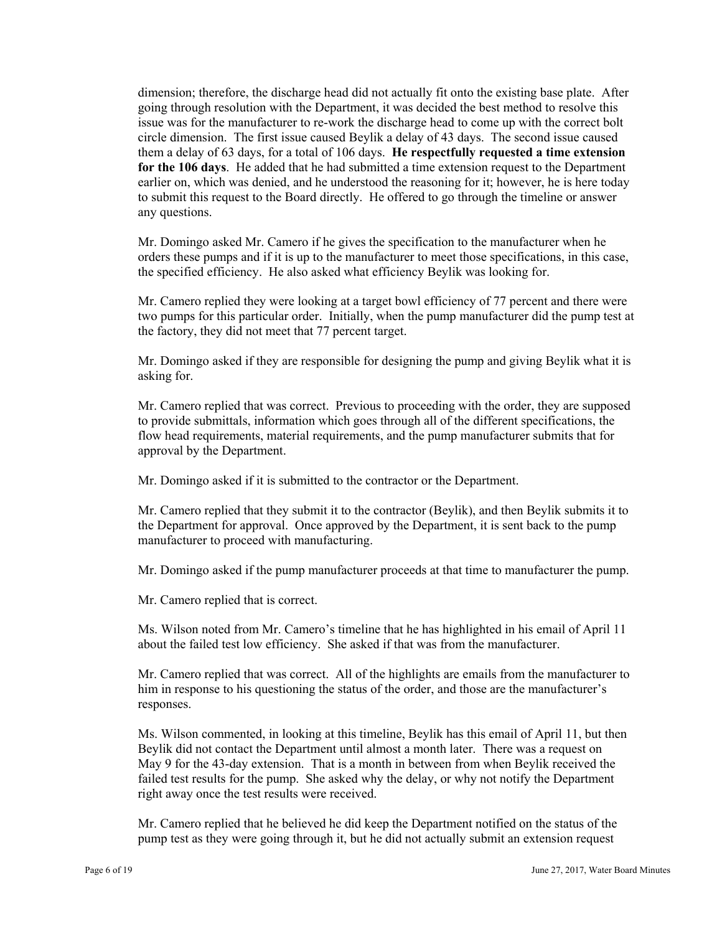dimension; therefore, the discharge head did not actually fit onto the existing base plate. After going through resolution with the Department, it was decided the best method to resolve this issue was for the manufacturer to re-work the discharge head to come up with the correct bolt circle dimension. The first issue caused Beylik a delay of 43 days. The second issue caused them a delay of 63 days, for a total of 106 days. **He respectfully requested a time extension for the 106 days**. He added that he had submitted a time extension request to the Department earlier on, which was denied, and he understood the reasoning for it; however, he is here today to submit this request to the Board directly. He offered to go through the timeline or answer any questions.

Mr. Domingo asked Mr. Camero if he gives the specification to the manufacturer when he orders these pumps and if it is up to the manufacturer to meet those specifications, in this case, the specified efficiency. He also asked what efficiency Beylik was looking for.

Mr. Camero replied they were looking at a target bowl efficiency of 77 percent and there were two pumps for this particular order. Initially, when the pump manufacturer did the pump test at the factory, they did not meet that 77 percent target.

Mr. Domingo asked if they are responsible for designing the pump and giving Beylik what it is asking for.

Mr. Camero replied that was correct. Previous to proceeding with the order, they are supposed to provide submittals, information which goes through all of the different specifications, the flow head requirements, material requirements, and the pump manufacturer submits that for approval by the Department.

Mr. Domingo asked if it is submitted to the contractor or the Department.

Mr. Camero replied that they submit it to the contractor (Beylik), and then Beylik submits it to the Department for approval. Once approved by the Department, it is sent back to the pump manufacturer to proceed with manufacturing.

Mr. Domingo asked if the pump manufacturer proceeds at that time to manufacturer the pump.

Mr. Camero replied that is correct.

Ms. Wilson noted from Mr. Camero's timeline that he has highlighted in his email of April 11 about the failed test low efficiency. She asked if that was from the manufacturer.

Mr. Camero replied that was correct. All of the highlights are emails from the manufacturer to him in response to his questioning the status of the order, and those are the manufacturer's responses.

 failed test results for the pump. She asked why the delay, or why not notify the Department Ms. Wilson commented, in looking at this timeline, Beylik has this email of April 11, but then Beylik did not contact the Department until almost a month later. There was a request on May 9 for the 43-day extension. That is a month in between from when Beylik received the right away once the test results were received.

Mr. Camero replied that he believed he did keep the Department notified on the status of the pump test as they were going through it, but he did not actually submit an extension request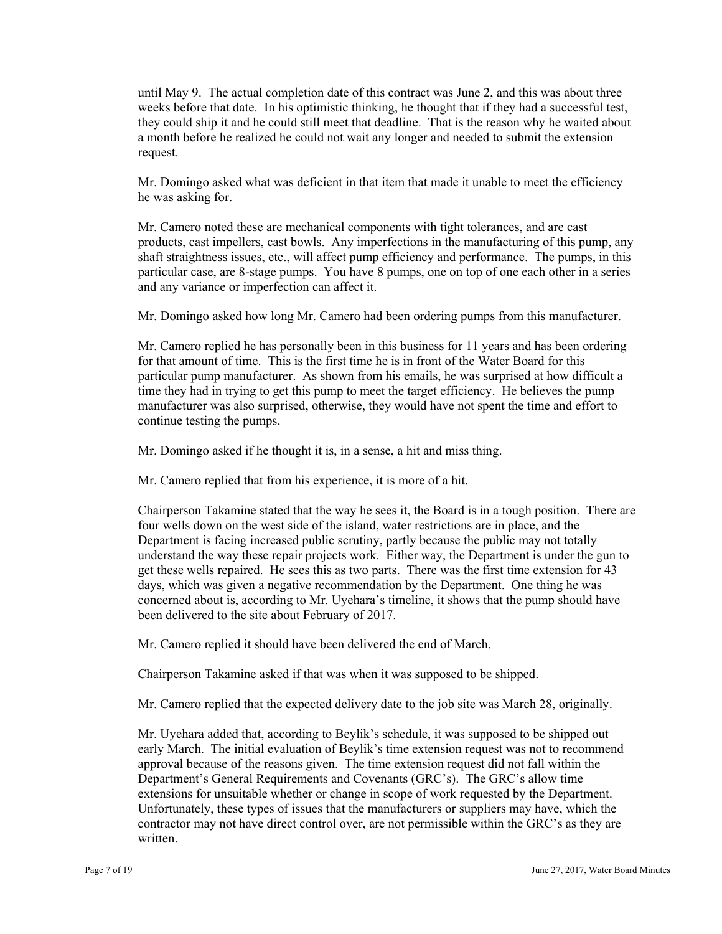until May 9. The actual completion date of this contract was June 2, and this was about three weeks before that date. In his optimistic thinking, he thought that if they had a successful test, they could ship it and he could still meet that deadline. That is the reason why he waited about a month before he realized he could not wait any longer and needed to submit the extension request.

Mr. Domingo asked what was deficient in that item that made it unable to meet the efficiency he was asking for.

Mr. Camero noted these are mechanical components with tight tolerances, and are cast products, cast impellers, cast bowls. Any imperfections in the manufacturing of this pump, any shaft straightness issues, etc., will affect pump efficiency and performance. The pumps, in this particular case, are 8-stage pumps. You have 8 pumps, one on top of one each other in a series and any variance or imperfection can affect it.

Mr. Domingo asked how long Mr. Camero had been ordering pumps from this manufacturer.

Mr. Camero replied he has personally been in this business for 11 years and has been ordering for that amount of time. This is the first time he is in front of the Water Board for this particular pump manufacturer. As shown from his emails, he was surprised at how difficult a time they had in trying to get this pump to meet the target efficiency. He believes the pump manufacturer was also surprised, otherwise, they would have not spent the time and effort to continue testing the pumps.

Mr. Domingo asked if he thought it is, in a sense, a hit and miss thing.

Mr. Camero replied that from his experience, it is more of a hit.

been delivered to the site about February of 2017. Chairperson Takamine stated that the way he sees it, the Board is in a tough position. There are four wells down on the west side of the island, water restrictions are in place, and the Department is facing increased public scrutiny, partly because the public may not totally understand the way these repair projects work. Either way, the Department is under the gun to get these wells repaired. He sees this as two parts. There was the first time extension for 43 days, which was given a negative recommendation by the Department. One thing he was concerned about is, according to Mr. Uyehara's timeline, it shows that the pump should have

Mr. Camero replied it should have been delivered the end of March.

Chairperson Takamine asked if that was when it was supposed to be shipped.

Mr. Camero replied that the expected delivery date to the job site was March 28, originally.

Mr. Uyehara added that, according to Beylik's schedule, it was supposed to be shipped out early March. The initial evaluation of Beylik's time extension request was not to recommend approval because of the reasons given. The time extension request did not fall within the Department's General Requirements and Covenants (GRC's). The GRC's allow time extensions for unsuitable whether or change in scope of work requested by the Department. Unfortunately, these types of issues that the manufacturers or suppliers may have, which the contractor may not have direct control over, are not permissible within the GRC's as they are written.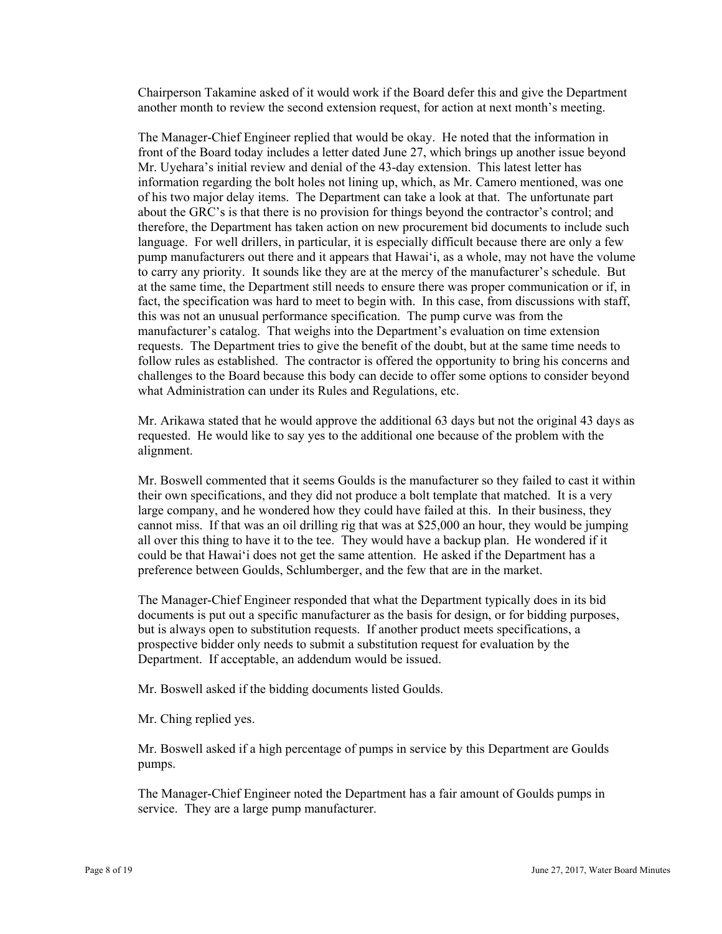Chairperson Takamine asked of it would work if the Board defer this and give the Department another month to review the second extension request, for action at next month's meeting.

The Manager-Chief Engineer replied that would be okay. He noted that the information in front of the Board today includes a letter dated June 27, which brings up another issue beyond Mr. Uyehara's initial review and denial of the 43-day extension. This latest letter has information regarding the bolt holes not lining up, which, as Mr. Camero mentioned, was one of his two major delay items. The Department can take a look at that. The unfortunate part about the GRC's is that there is no provision for things beyond the contractor's control; and therefore, the Department has taken action on new procurement bid documents to include such language. For well drillers, in particular, it is especially difficult because there are only a few pump manufacturers out there and it appears that Hawai'i, as a whole, may not have the volume to carry any priority. It sounds like they are at the mercy of the manufacturer's schedule. But at the same time, the Department still needs to ensure there was proper communication or if, in fact, the specification was hard to meet to begin with. In this case, from discussions with staff, this was not an unusual performance specification. The pump curve was from the manufacturer's catalog. That weighs into the Department's evaluation on time extension requests. The Department tries to give the benefit of the doubt, but at the same time needs to follow rules as established. The contractor is offered the opportunity to bring his concerns and challenges to the Board because this body can decide to offer some options to consider beyond what Administration can under its Rules and Regulations, etc.

Mr. Arikawa stated that he would approve the additional 63 days but not the original 43 days as requested. He would like to say yes to the additional one because of the problem with the alignment.

Mr. Boswell commented that it seems Goulds is the manufacturer so they failed to cast it within their own specifications, and they did not produce a bolt template that matched. It is a very large company, and he wondered how they could have failed at this. In their business, they cannot miss. If that was an oil drilling rig that was at \$25,000 an hour, they would be jumping all over this thing to have it to the tee. They would have a backup plan. He wondered if it could be that Hawai'i does not get the same attention. He asked if the Department has a preference between Goulds, Schlumberger, and the few that are in the market.

The Manager-Chief Engineer responded that what the Department typically does in its bid documents is put out a specific manufacturer as the basis for design, or for bidding purposes, but is always open to substitution requests. If another product meets specifications, a prospective bidder only needs to submit a substitution request for evaluation by the Department. If acceptable, an addendum would be issued.

Mr. Boswell asked if the bidding documents listed Goulds.

Mr. Ching replied yes.

Mr. Boswell asked if a high percentage of pumps in service by this Department are Goulds pumps.

The Manager-Chief Engineer noted the Department has a fair amount of Goulds pumps in service. They are a large pump manufacturer.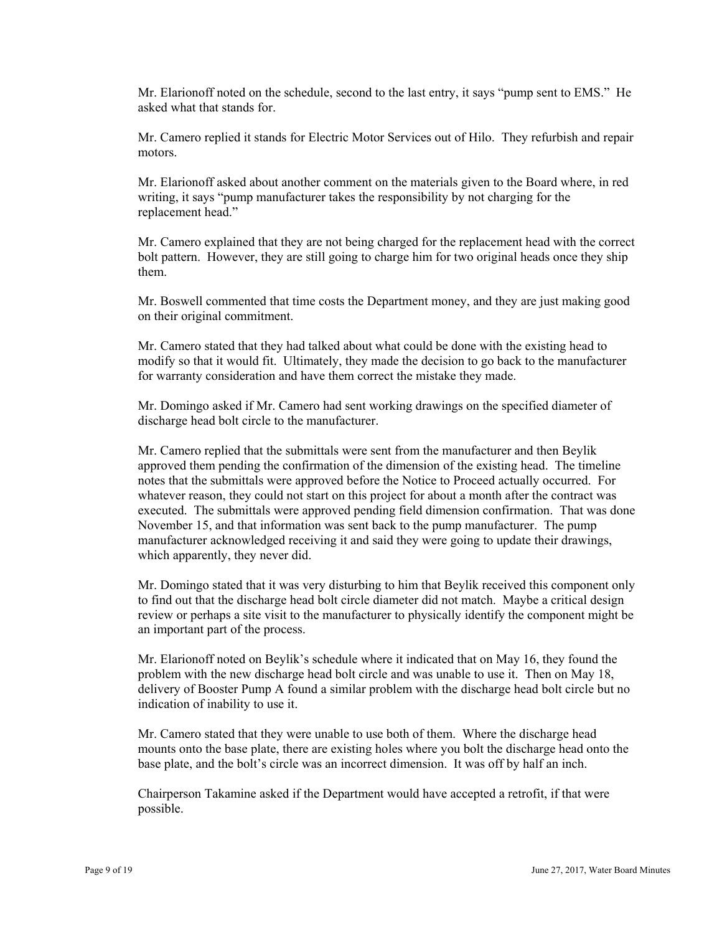Mr. Elarionoff noted on the schedule, second to the last entry, it says "pump sent to EMS." He asked what that stands for.

Mr. Camero replied it stands for Electric Motor Services out of Hilo. They refurbish and repair motors.

Mr. Elarionoff asked about another comment on the materials given to the Board where, in red writing, it says "pump manufacturer takes the responsibility by not charging for the replacement head."

Mr. Camero explained that they are not being charged for the replacement head with the correct bolt pattern. However, they are still going to charge him for two original heads once they ship them.

Mr. Boswell commented that time costs the Department money, and they are just making good on their original commitment.

Mr. Camero stated that they had talked about what could be done with the existing head to modify so that it would fit. Ultimately, they made the decision to go back to the manufacturer for warranty consideration and have them correct the mistake they made.

Mr. Domingo asked if Mr. Camero had sent working drawings on the specified diameter of discharge head bolt circle to the manufacturer.

Mr. Camero replied that the submittals were sent from the manufacturer and then Beylik approved them pending the confirmation of the dimension of the existing head. The timeline notes that the submittals were approved before the Notice to Proceed actually occurred. For whatever reason, they could not start on this project for about a month after the contract was executed. The submittals were approved pending field dimension confirmation. That was done November 15, and that information was sent back to the pump manufacturer. The pump manufacturer acknowledged receiving it and said they were going to update their drawings, which apparently, they never did.

Mr. Domingo stated that it was very disturbing to him that Beylik received this component only to find out that the discharge head bolt circle diameter did not match. Maybe a critical design review or perhaps a site visit to the manufacturer to physically identify the component might be an important part of the process.

Mr. Elarionoff noted on Beylik's schedule where it indicated that on May 16, they found the problem with the new discharge head bolt circle and was unable to use it. Then on May 18, delivery of Booster Pump A found a similar problem with the discharge head bolt circle but no indication of inability to use it.

Mr. Camero stated that they were unable to use both of them. Where the discharge head mounts onto the base plate, there are existing holes where you bolt the discharge head onto the base plate, and the bolt's circle was an incorrect dimension. It was off by half an inch.

Chairperson Takamine asked if the Department would have accepted a retrofit, if that were possible.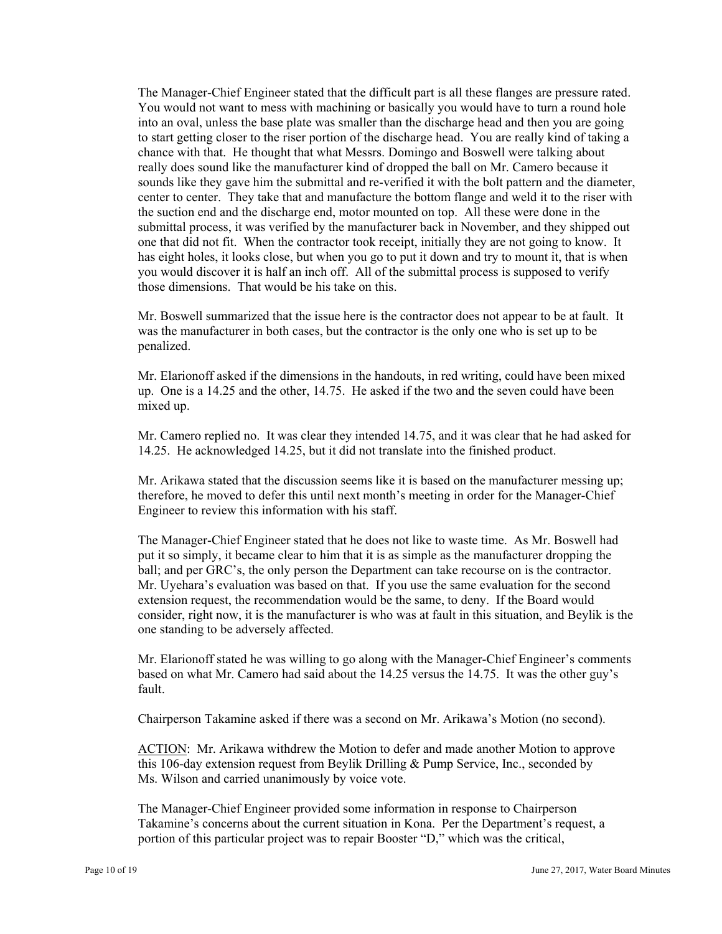The Manager-Chief Engineer stated that the difficult part is all these flanges are pressure rated. You would not want to mess with machining or basically you would have to turn a round hole into an oval, unless the base plate was smaller than the discharge head and then you are going to start getting closer to the riser portion of the discharge head. You are really kind of taking a chance with that. He thought that what Messrs. Domingo and Boswell were talking about really does sound like the manufacturer kind of dropped the ball on Mr. Camero because it sounds like they gave him the submittal and re-verified it with the bolt pattern and the diameter, center to center. They take that and manufacture the bottom flange and weld it to the riser with the suction end and the discharge end, motor mounted on top. All these were done in the submittal process, it was verified by the manufacturer back in November, and they shipped out one that did not fit. When the contractor took receipt, initially they are not going to know. It has eight holes, it looks close, but when you go to put it down and try to mount it, that is when you would discover it is half an inch off. All of the submittal process is supposed to verify those dimensions. That would be his take on this.

Mr. Boswell summarized that the issue here is the contractor does not appear to be at fault. It was the manufacturer in both cases, but the contractor is the only one who is set up to be penalized.

Mr. Elarionoff asked if the dimensions in the handouts, in red writing, could have been mixed up. One is a 14.25 and the other, 14.75. He asked if the two and the seven could have been mixed up.

Mr. Camero replied no. It was clear they intended 14.75, and it was clear that he had asked for 14.25. He acknowledged 14.25, but it did not translate into the finished product.

Mr. Arikawa stated that the discussion seems like it is based on the manufacturer messing up; therefore, he moved to defer this until next month's meeting in order for the Manager-Chief Engineer to review this information with his staff.

The Manager-Chief Engineer stated that he does not like to waste time. As Mr. Boswell had put it so simply, it became clear to him that it is as simple as the manufacturer dropping the ball; and per GRC's, the only person the Department can take recourse on is the contractor. Mr. Uyehara's evaluation was based on that. If you use the same evaluation for the second extension request, the recommendation would be the same, to deny. If the Board would consider, right now, it is the manufacturer is who was at fault in this situation, and Beylik is the one standing to be adversely affected.

Mr. Elarionoff stated he was willing to go along with the Manager-Chief Engineer's comments based on what Mr. Camero had said about the 14.25 versus the 14.75. It was the other guy's fault.

Chairperson Takamine asked if there was a second on Mr. Arikawa's Motion (no second).

ACTION: Mr. Arikawa withdrew the Motion to defer and made another Motion to approve this 106-day extension request from Beylik Drilling & Pump Service, Inc., seconded by Ms. Wilson and carried unanimously by voice vote.

The Manager-Chief Engineer provided some information in response to Chairperson Takamine's concerns about the current situation in Kona. Per the Department's request, a portion of this particular project was to repair Booster "D," which was the critical,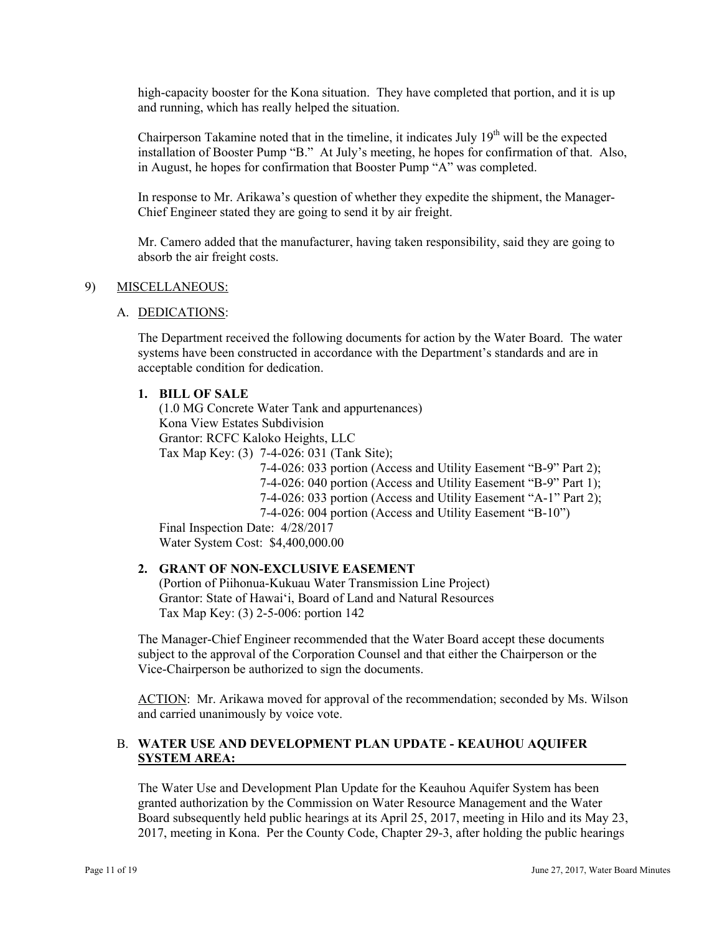high-capacity booster for the Kona situation. They have completed that portion, and it is up and running, which has really helped the situation.

Chairperson Takamine noted that in the timeline, it indicates July  $19<sup>th</sup>$  will be the expected installation of Booster Pump "B." At July's meeting, he hopes for confirmation of that. Also, in August, he hopes for confirmation that Booster Pump "A" was completed.

In response to Mr. Arikawa's question of whether they expedite the shipment, the Manager-Chief Engineer stated they are going to send it by air freight.

Mr. Camero added that the manufacturer, having taken responsibility, said they are going to absorb the air freight costs.

#### 9) MISCELLANEOUS:

#### A. DEDICATIONS:

The Department received the following documents for action by the Water Board. The water systems have been constructed in accordance with the Department's standards and are in acceptable condition for dedication.

#### **1. BILL OF SALE**

(1.0 MG Concrete Water Tank and appurtenances) Kona View Estates Subdivision Grantor: RCFC Kaloko Heights, LLC Tax Map Key: (3) 7-4-026: 031 (Tank Site); 7-4-026: 033 portion (Access and Utility Easement "B-9" Part 2);

7-4-026: 040 portion (Access and Utility Easement "B-9" Part 1); 7-4-026: 033 portion (Access and Utility Easement "A-1" Part 2); 7-4-026: 004 portion (Access and Utility Easement "B-10")

Final Inspection Date: 4/28/2017 Water System Cost: \$4,400,000.00

# **2. GRANT OF NON-EXCLUSIVE EASEMENT**

(Portion of Piihonua-Kukuau Water Transmission Line Project) Grantor: State of Hawai'i, Board of Land and Natural Resources Tax Map Key: (3) 2-5-006: portion 142

The Manager-Chief Engineer recommended that the Water Board accept these documents subject to the approval of the Corporation Counsel and that either the Chairperson or the Vice-Chairperson be authorized to sign the documents.

ACTION: Mr. Arikawa moved for approval of the recommendation; seconded by Ms. Wilson and carried unanimously by voice vote.

### B. **WATER USE AND DEVELOPMENT PLAN UPDATE - KEAUHOU AQUIFER SYSTEM AREA:**

The Water Use and Development Plan Update for the Keauhou Aquifer System has been granted authorization by the Commission on Water Resource Management and the Water Board subsequently held public hearings at its April 25, 2017, meeting in Hilo and its May 23, 2017, meeting in Kona. Per the County Code, Chapter 29-3, after holding the public hearings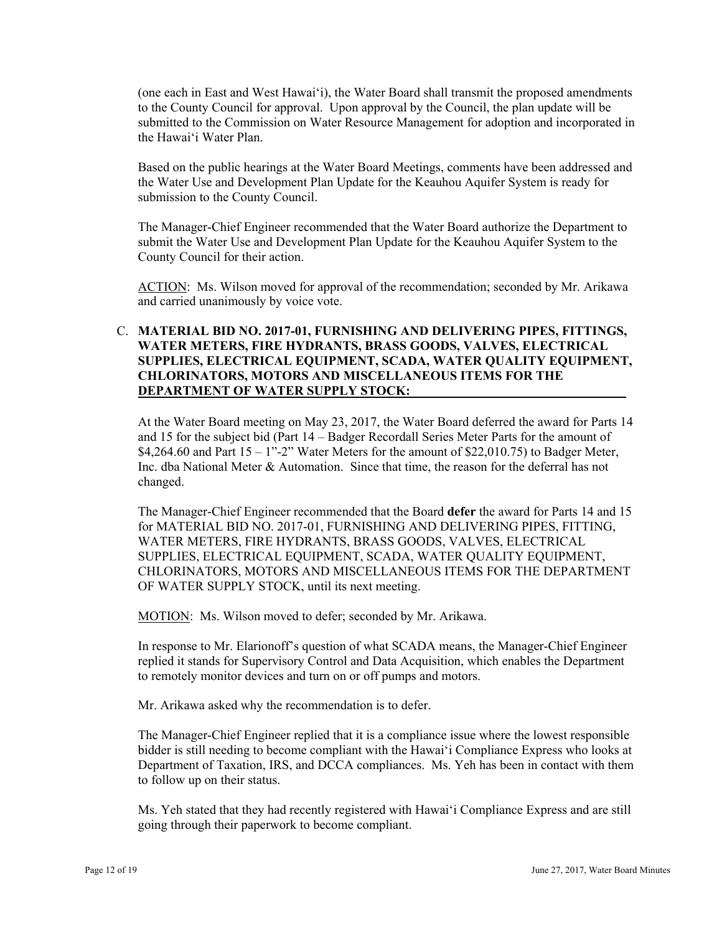(one each in East and West Hawai'i), the Water Board shall transmit the proposed amendments to the County Council for approval. Upon approval by the Council, the plan update will be submitted to the Commission on Water Resource Management for adoption and incorporated in the Hawai'i Water Plan.

Based on the public hearings at the Water Board Meetings, comments have been addressed and the Water Use and Development Plan Update for the Keauhou Aquifer System is ready for submission to the County Council.

The Manager-Chief Engineer recommended that the Water Board authorize the Department to submit the Water Use and Development Plan Update for the Keauhou Aquifer System to the County Council for their action.

ACTION: Ms. Wilson moved for approval of the recommendation; seconded by Mr. Arikawa and carried unanimously by voice vote.

# C. **MATERIAL BID NO. 2017-01, FURNISHING AND DELIVERING PIPES, FITTINGS, WATER METERS, FIRE HYDRANTS, BRASS GOODS, VALVES, ELECTRICAL SUPPLIES, ELECTRICAL EQUIPMENT, SCADA, WATER QUALITY EQUIPMENT, CHLORINATORS, MOTORS AND MISCELLANEOUS ITEMS FOR THE DEPARTMENT OF WATER SUPPLY STOCK:**

At the Water Board meeting on May 23, 2017, the Water Board deferred the award for Parts 14 and 15 for the subject bid (Part 14 – Badger Recordall Series Meter Parts for the amount of \$4,264.60 and Part  $15 - 1$ "-2" Water Meters for the amount of \$22,010.75) to Badger Meter, Inc. dba National Meter & Automation. Since that time, the reason for the deferral has not changed.

The Manager-Chief Engineer recommended that the Board **defer** the award for Parts 14 and 15 for MATERIAL BID NO. 2017-01, FURNISHING AND DELIVERING PIPES, FITTING, WATER METERS, FIRE HYDRANTS, BRASS GOODS, VALVES, ELECTRICAL SUPPLIES, ELECTRICAL EQUIPMENT, SCADA, WATER QUALITY EQUIPMENT, CHLORINATORS, MOTORS AND MISCELLANEOUS ITEMS FOR THE DEPARTMENT OF WATER SUPPLY STOCK, until its next meeting.

MOTION: Ms. Wilson moved to defer; seconded by Mr. Arikawa.

In response to Mr. Elarionoff's question of what SCADA means, the Manager-Chief Engineer replied it stands for Supervisory Control and Data Acquisition, which enables the Department to remotely monitor devices and turn on or off pumps and motors.

Mr. Arikawa asked why the recommendation is to defer.

The Manager-Chief Engineer replied that it is a compliance issue where the lowest responsible bidder is still needing to become compliant with the Hawaiʻi Compliance Express who looks at Department of Taxation, IRS, and DCCA compliances. Ms. Yeh has been in contact with them to follow up on their status.

Ms. Yeh stated that they had recently registered with Hawai'i Compliance Express and are still going through their paperwork to become compliant.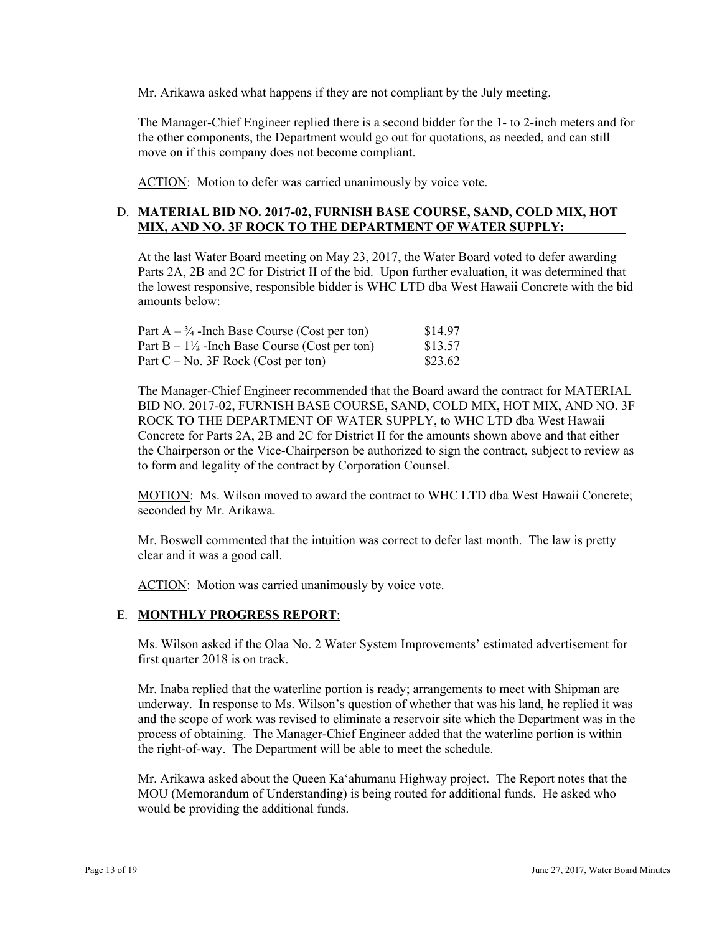Mr. Arikawa asked what happens if they are not compliant by the July meeting.

The Manager-Chief Engineer replied there is a second bidder for the 1- to 2-inch meters and for the other components, the Department would go out for quotations, as needed, and can still move on if this company does not become compliant.

ACTION: Motion to defer was carried unanimously by voice vote.

# D. **MATERIAL BID NO. 2017-02, FURNISH BASE COURSE, SAND, COLD MIX, HOT MIX, AND NO. 3F ROCK TO THE DEPARTMENT OF WATER SUPPLY:**

At the last Water Board meeting on May 23, 2017, the Water Board voted to defer awarding Parts 2A, 2B and 2C for District II of the bid. Upon further evaluation, it was determined that the lowest responsive, responsible bidder is WHC LTD dba West Hawaii Concrete with the bid amounts below:

| Part $A - \frac{3}{4}$ -Inch Base Course (Cost per ton)  | \$14.97 |
|----------------------------------------------------------|---------|
| Part $B - 1\frac{1}{2}$ -Inch Base Course (Cost per ton) | \$13.57 |
| Part $C - No$ . 3F Rock (Cost per ton)                   | \$23.62 |

The Manager-Chief Engineer recommended that the Board award the contract for MATERIAL BID NO. 2017-02, FURNISH BASE COURSE, SAND, COLD MIX, HOT MIX, AND NO. 3F ROCK TO THE DEPARTMENT OF WATER SUPPLY, to WHC LTD dba West Hawaii Concrete for Parts 2A, 2B and 2C for District II for the amounts shown above and that either the Chairperson or the Vice-Chairperson be authorized to sign the contract, subject to review as to form and legality of the contract by Corporation Counsel.

MOTION: Ms. Wilson moved to award the contract to WHC LTD dba West Hawaii Concrete; seconded by Mr. Arikawa.

Mr. Boswell commented that the intuition was correct to defer last month. The law is pretty clear and it was a good call.

ACTION: Motion was carried unanimously by voice vote.

# E. **MONTHLY PROGRESS REPORT**:

Ms. Wilson asked if the Olaa No. 2 Water System Improvements' estimated advertisement for first quarter 2018 is on track.

Mr. Inaba replied that the waterline portion is ready; arrangements to meet with Shipman are underway. In response to Ms. Wilson's question of whether that was his land, he replied it was and the scope of work was revised to eliminate a reservoir site which the Department was in the process of obtaining. The Manager-Chief Engineer added that the waterline portion is within the right-of-way. The Department will be able to meet the schedule.

Mr. Arikawa asked about the Queen Ka'ahumanu Highway project. The Report notes that the MOU (Memorandum of Understanding) is being routed for additional funds. He asked who would be providing the additional funds.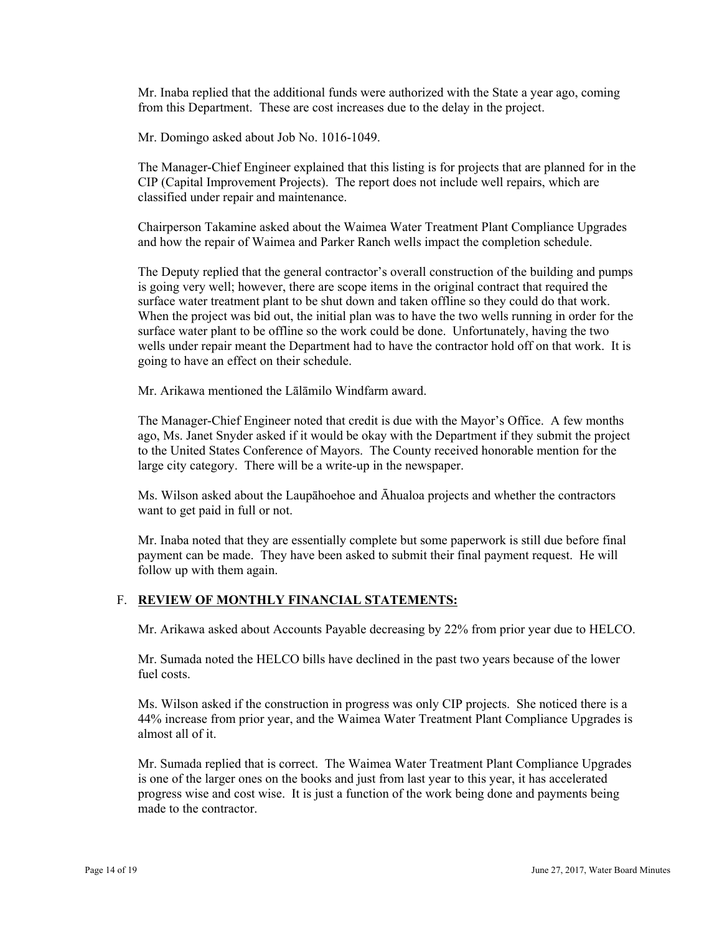Mr. Inaba replied that the additional funds were authorized with the State a year ago, coming from this Department. These are cost increases due to the delay in the project.

Mr. Domingo asked about Job No. 1016-1049.

The Manager-Chief Engineer explained that this listing is for projects that are planned for in the CIP (Capital Improvement Projects). The report does not include well repairs, which are classified under repair and maintenance.

Chairperson Takamine asked about the Waimea Water Treatment Plant Compliance Upgrades and how the repair of Waimea and Parker Ranch wells impact the completion schedule.

The Deputy replied that the general contractor's overall construction of the building and pumps is going very well; however, there are scope items in the original contract that required the surface water treatment plant to be shut down and taken offline so they could do that work. When the project was bid out, the initial plan was to have the two wells running in order for the surface water plant to be offline so the work could be done. Unfortunately, having the two wells under repair meant the Department had to have the contractor hold off on that work. It is going to have an effect on their schedule.

Mr. Arikawa mentioned the Lālāmilo Windfarm award.

The Manager-Chief Engineer noted that credit is due with the Mayor's Office. A few months ago, Ms. Janet Snyder asked if it would be okay with the Department if they submit the project to the United States Conference of Mayors. The County received honorable mention for the large city category. There will be a write-up in the newspaper.

Ms. Wilson asked about the Laupāhoehoe and Āhualoa projects and whether the contractors want to get paid in full or not.

follow up with them again. Mr. Inaba noted that they are essentially complete but some paperwork is still due before final payment can be made. They have been asked to submit their final payment request. He will

# F. **REVIEW OF MONTHLY FINANCIAL STATEMENTS:**

Mr. Arikawa asked about Accounts Payable decreasing by 22% from prior year due to HELCO.

Mr. Sumada noted the HELCO bills have declined in the past two years because of the lower fuel costs.

Ms. Wilson asked if the construction in progress was only CIP projects. She noticed there is a 44% increase from prior year, and the Waimea Water Treatment Plant Compliance Upgrades is almost all of it.

Mr. Sumada replied that is correct. The Waimea Water Treatment Plant Compliance Upgrades is one of the larger ones on the books and just from last year to this year, it has accelerated progress wise and cost wise. It is just a function of the work being done and payments being made to the contractor.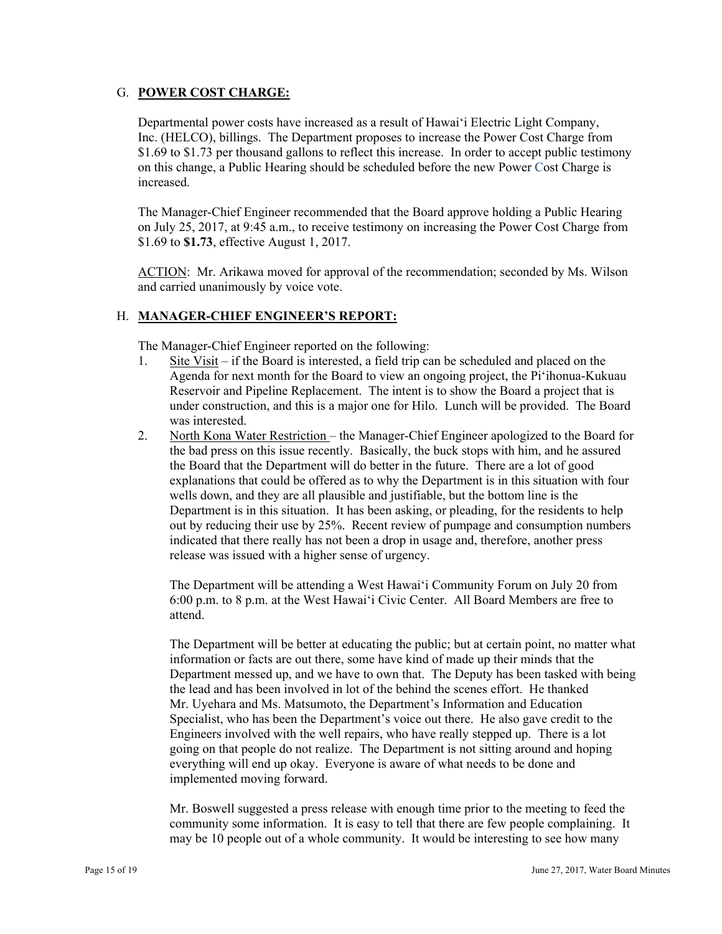# G. **POWER COST CHARGE:**

Departmental power costs have increased as a result of Hawai'i Electric Light Company, Inc. (HELCO), billings. The Department proposes to increase the Power Cost Charge from \$1.69 to \$1.73 per thousand gallons to reflect this increase. In order to accept public testimony on this change, a Public Hearing should be scheduled before the new Power Cost Charge is increased.

The Manager-Chief Engineer recommended that the Board approve holding a Public Hearing on July 25, 2017, at 9:45 a.m., to receive testimony on increasing the Power Cost Charge from \$1.69 to **\$1.73**, effective August 1, 2017.

ACTION: Mr. Arikawa moved for approval of the recommendation; seconded by Ms. Wilson and carried unanimously by voice vote.

# H. **MANAGER-CHIEF ENGINEER'S REPORT:**

The Manager-Chief Engineer reported on the following:

- 1. Site Visit if the Board is interested, a field trip can be scheduled and placed on the Agenda for next month for the Board to view an ongoing project, the Pi'ihonua-Kukuau Reservoir and Pipeline Replacement. The intent is to show the Board a project that is under construction, and this is a major one for Hilo. Lunch will be provided. The Board was interested.
- release was issued with a higher sense of urgency. 2. North Kona Water Restriction – the Manager-Chief Engineer apologized to the Board for the bad press on this issue recently. Basically, the buck stops with him, and he assured the Board that the Department will do better in the future. There are a lot of good explanations that could be offered as to why the Department is in this situation with four wells down, and they are all plausible and justifiable, but the bottom line is the Department is in this situation. It has been asking, or pleading, for the residents to help out by reducing their use by 25%. Recent review of pumpage and consumption numbers indicated that there really has not been a drop in usage and, therefore, another press

 release was issued with a higher sense of urgency. The Department will be attending a West Hawai'i Community Forum on July 20 from 6:00 p.m. to 8 p.m. at the West Hawai'i Civic Center. All Board Members are free to attend.

The Department will be better at educating the public; but at certain point, no matter what information or facts are out there, some have kind of made up their minds that the Department messed up, and we have to own that. The Deputy has been tasked with being the lead and has been involved in lot of the behind the scenes effort. He thanked Mr. Uyehara and Ms. Matsumoto, the Department's Information and Education Specialist, who has been the Department's voice out there. He also gave credit to the Engineers involved with the well repairs, who have really stepped up. There is a lot going on that people do not realize. The Department is not sitting around and hoping everything will end up okay. Everyone is aware of what needs to be done and implemented moving forward.

Mr. Boswell suggested a press release with enough time prior to the meeting to feed the community some information. It is easy to tell that there are few people complaining. It may be 10 people out of a whole community. It would be interesting to see how many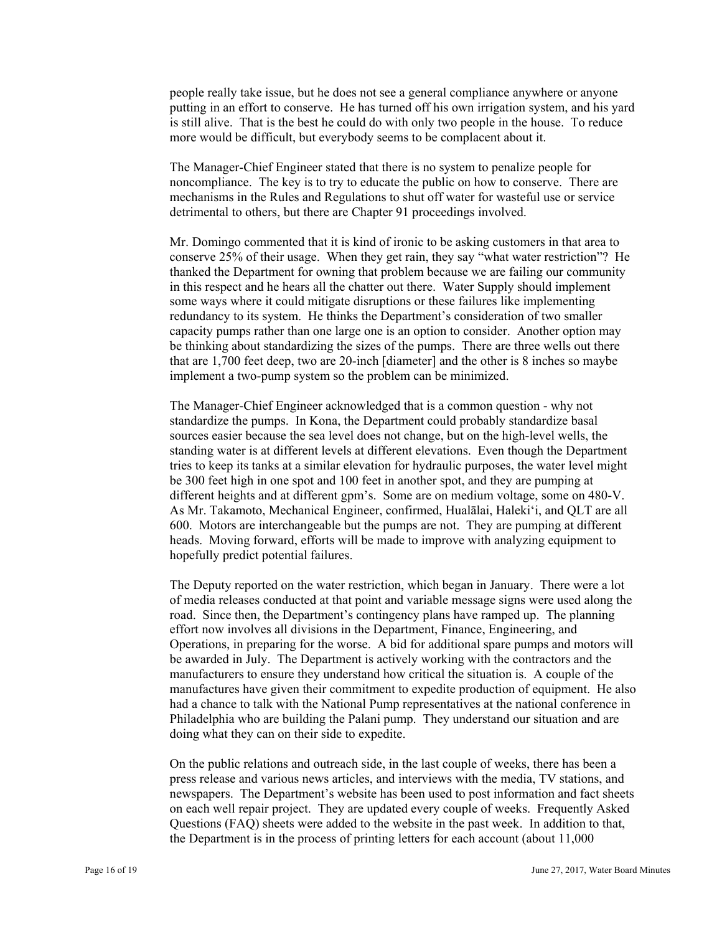people really take issue, but he does not see a general compliance anywhere or anyone putting in an effort to conserve. He has turned off his own irrigation system, and his yard is still alive. That is the best he could do with only two people in the house. To reduce more would be difficult, but everybody seems to be complacent about it.

The Manager-Chief Engineer stated that there is no system to penalize people for noncompliance. The key is to try to educate the public on how to conserve. There are mechanisms in the Rules and Regulations to shut off water for wasteful use or service detrimental to others, but there are Chapter 91 proceedings involved.

Mr. Domingo commented that it is kind of ironic to be asking customers in that area to conserve 25% of their usage. When they get rain, they say "what water restriction"? He thanked the Department for owning that problem because we are failing our community in this respect and he hears all the chatter out there. Water Supply should implement some ways where it could mitigate disruptions or these failures like implementing redundancy to its system. He thinks the Department's consideration of two smaller capacity pumps rather than one large one is an option to consider. Another option may be thinking about standardizing the sizes of the pumps. There are three wells out there that are 1,700 feet deep, two are 20-inch [diameter] and the other is 8 inches so maybe implement a two-pump system so the problem can be minimized.

The Manager-Chief Engineer acknowledged that is a common question - why not standardize the pumps. In Kona, the Department could probably standardize basal sources easier because the sea level does not change, but on the high-level wells, the standing water is at different levels at different elevations. Even though the Department tries to keep its tanks at a similar elevation for hydraulic purposes, the water level might be 300 feet high in one spot and 100 feet in another spot, and they are pumping at different heights and at different gpm's. Some are on medium voltage, some on 480-V. As Mr. Takamoto, Mechanical Engineer, confirmed, Hualālai, Haleki'i, and QLT are all 600. Motors are interchangeable but the pumps are not. They are pumping at different heads. Moving forward, efforts will be made to improve with analyzing equipment to hopefully predict potential failures.

The Deputy reported on the water restriction, which began in January. There were a lot of media releases conducted at that point and variable message signs were used along the road. Since then, the Department's contingency plans have ramped up. The planning effort now involves all divisions in the Department, Finance, Engineering, and Operations, in preparing for the worse. A bid for additional spare pumps and motors will be awarded in July. The Department is actively working with the contractors and the manufacturers to ensure they understand how critical the situation is. A couple of the manufactures have given their commitment to expedite production of equipment. He also had a chance to talk with the National Pump representatives at the national conference in Philadelphia who are building the Palani pump. They understand our situation and are doing what they can on their side to expedite.

On the public relations and outreach side, in the last couple of weeks, there has been a press release and various news articles, and interviews with the media, TV stations, and newspapers. The Department's website has been used to post information and fact sheets on each well repair project. They are updated every couple of weeks. Frequently Asked Questions (FAQ) sheets were added to the website in the past week. In addition to that, the Department is in the process of printing letters for each account (about 11,000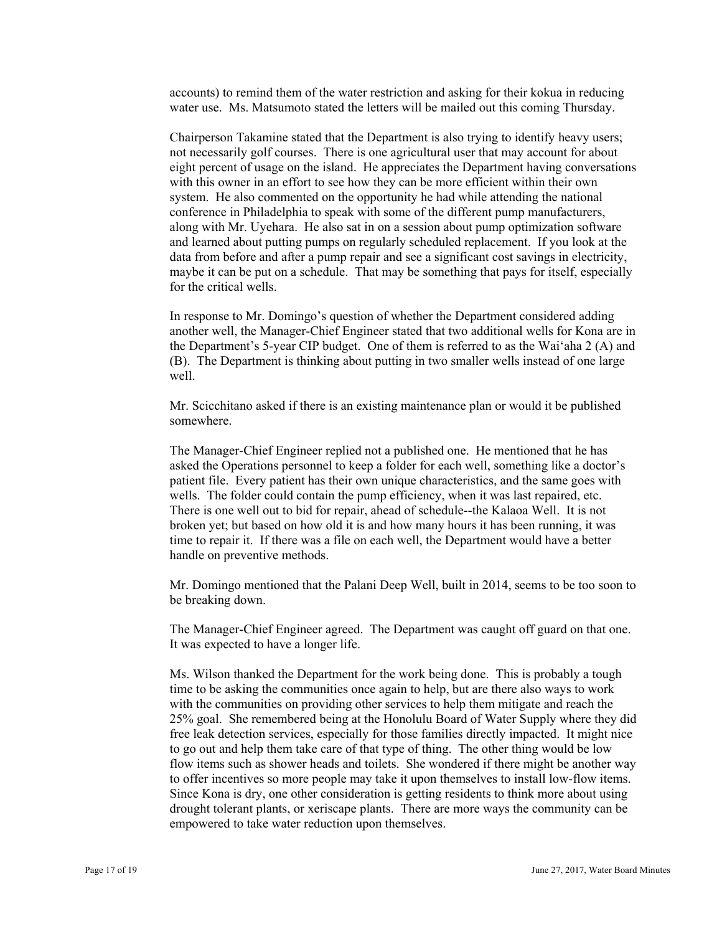accounts) to remind them of the water restriction and asking for their kokua in reducing water use. Ms. Matsumoto stated the letters will be mailed out this coming Thursday.

Chairperson Takamine stated that the Department is also trying to identify heavy users; not necessarily golf courses. There is one agricultural user that may account for about eight percent of usage on the island. He appreciates the Department having conversations with this owner in an effort to see how they can be more efficient within their own system. He also commented on the opportunity he had while attending the national conference in Philadelphia to speak with some of the different pump manufacturers, along with Mr. Uyehara. He also sat in on a session about pump optimization software and learned about putting pumps on regularly scheduled replacement. If you look at the data from before and after a pump repair and see a significant cost savings in electricity, maybe it can be put on a schedule. That may be something that pays for itself, especially for the critical wells.

In response to Mr. Domingo's question of whether the Department considered adding another well, the Manager-Chief Engineer stated that two additional wells for Kona are in the Department's 5-year CIP budget. One of them is referred to as the Wai'aha 2 (A) and (B). The Department is thinking about putting in two smaller wells instead of one large well.

Mr. Scicchitano asked if there is an existing maintenance plan or would it be published somewhere.

The Manager-Chief Engineer replied not a published one. He mentioned that he has asked the Operations personnel to keep a folder for each well, something like a doctor's patient file. Every patient has their own unique characteristics, and the same goes with wells. The folder could contain the pump efficiency, when it was last repaired, etc. There is one well out to bid for repair, ahead of schedule--the Kalaoa Well. It is not broken yet; but based on how old it is and how many hours it has been running, it was time to repair it. If there was a file on each well, the Department would have a better handle on preventive methods.

Mr. Domingo mentioned that the Palani Deep Well, built in 2014, seems to be too soon to be breaking down.

The Manager-Chief Engineer agreed. The Department was caught off guard on that one. It was expected to have a longer life.

Ms. Wilson thanked the Department for the work being done. This is probably a tough time to be asking the communities once again to help, but are there also ways to work with the communities on providing other services to help them mitigate and reach the 25% goal. She remembered being at the Honolulu Board of Water Supply where they did free leak detection services, especially for those families directly impacted. It might nice to go out and help them take care of that type of thing. The other thing would be low flow items such as shower heads and toilets. She wondered if there might be another way to offer incentives so more people may take it upon themselves to install low-flow items. Since Kona is dry, one other consideration is getting residents to think more about using drought tolerant plants, or xeriscape plants. There are more ways the community can be empowered to take water reduction upon themselves.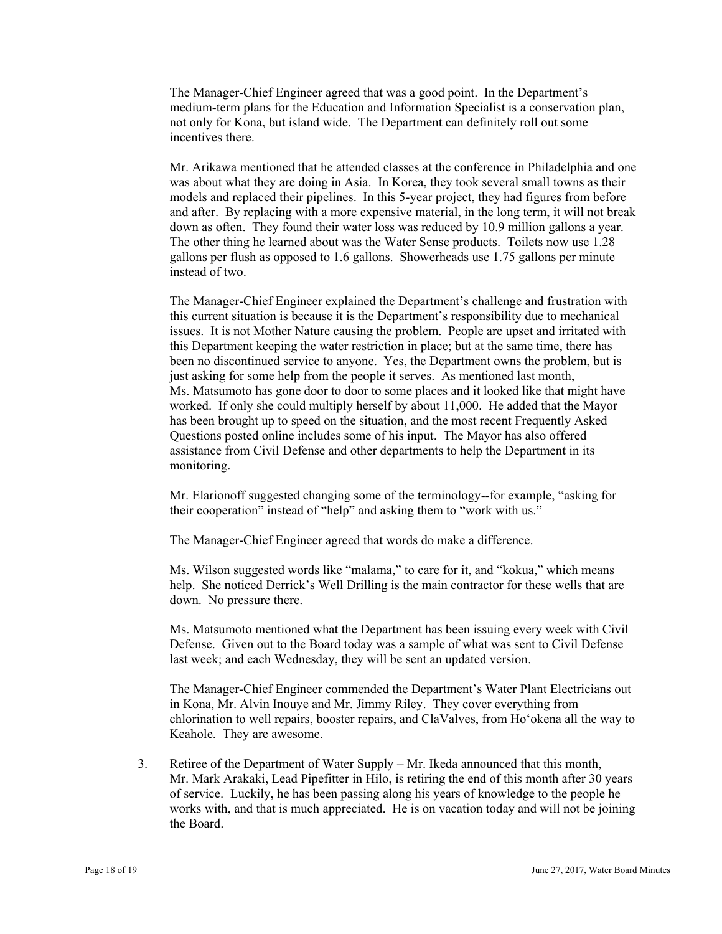The Manager-Chief Engineer agreed that was a good point. In the Department's medium-term plans for the Education and Information Specialist is a conservation plan, not only for Kona, but island wide. The Department can definitely roll out some incentives there.

Mr. Arikawa mentioned that he attended classes at the conference in Philadelphia and one was about what they are doing in Asia. In Korea, they took several small towns as their models and replaced their pipelines. In this 5-year project, they had figures from before and after. By replacing with a more expensive material, in the long term, it will not break down as often. They found their water loss was reduced by 10.9 million gallons a year. The other thing he learned about was the Water Sense products. Toilets now use 1.28 gallons per flush as opposed to 1.6 gallons. Showerheads use 1.75 gallons per minute instead of two.

The Manager-Chief Engineer explained the Department's challenge and frustration with this current situation is because it is the Department's responsibility due to mechanical issues. It is not Mother Nature causing the problem. People are upset and irritated with this Department keeping the water restriction in place; but at the same time, there has been no discontinued service to anyone. Yes, the Department owns the problem, but is just asking for some help from the people it serves. As mentioned last month, Ms. Matsumoto has gone door to door to some places and it looked like that might have worked. If only she could multiply herself by about 11,000. He added that the Mayor has been brought up to speed on the situation, and the most recent Frequently Asked Questions posted online includes some of his input. The Mayor has also offered assistance from Civil Defense and other departments to help the Department in its monitoring.

Mr. Elarionoff suggested changing some of the terminology--for example, "asking for their cooperation" instead of "help" and asking them to "work with us."

The Manager-Chief Engineer agreed that words do make a difference.

Ms. Wilson suggested words like "malama," to care for it, and "kokua," which means help. She noticed Derrick's Well Drilling is the main contractor for these wells that are down. No pressure there.

Ms. Matsumoto mentioned what the Department has been issuing every week with Civil Defense. Given out to the Board today was a sample of what was sent to Civil Defense last week; and each Wednesday, they will be sent an updated version.

The Manager-Chief Engineer commended the Department's Water Plant Electricians out in Kona, Mr. Alvin Inouye and Mr. Jimmy Riley. They cover everything from chlorination to well repairs, booster repairs, and ClaValves, from Ho'okena all the way to Keahole. They are awesome.

3. Retiree of the Department of Water Supply – Mr. Ikeda announced that this month, Mr. Mark Arakaki, Lead Pipefitter in Hilo, is retiring the end of this month after 30 years of service. Luckily, he has been passing along his years of knowledge to the people he works with, and that is much appreciated. He is on vacation today and will not be joining the Board.